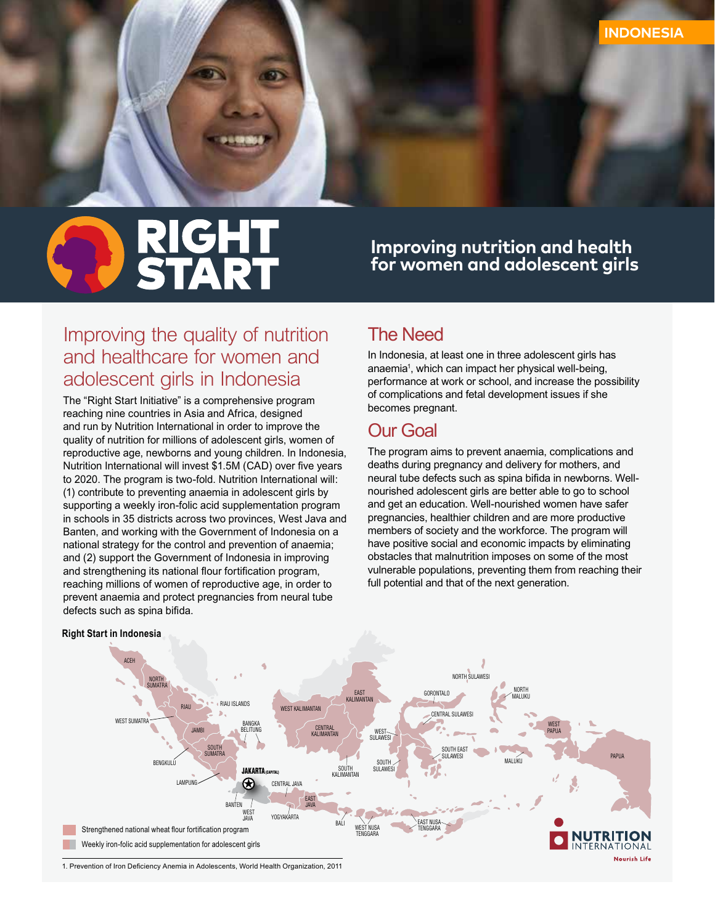# **RIGHT<br>START**

**Improving nutrition and health for women and adolescent girls**

# *Improving the quality of nutrition and healthcare for women and adolescent girls in Indonesia*

*The "Right Start Initiative" is a comprehensive program reaching nine countries in Asia and Africa, designed and run by Nutrition International in order to improve the quality of nutrition for millions of adolescent girls, women of reproductive age, newborns and young children. In Indonesia, Nutrition International will invest \$1.5M (CAD) over five years to 2020. The program is two-fold. Nutrition International will: (1) contribute to preventing anaemia in adolescent girls by supporting a weekly iron-folic acid supplementation program in schools in 35 districts across two provinces, West Java and Banten, and working with the Government of Indonesia on a national strategy for the control and prevention of anaemia; and (2) support the Government of Indonesia in improving and strengthening its national flour fortification program, reaching millions of women of reproductive age, in order to prevent anaemia and protect pregnancies from neural tube defects such as spina bifida.*

# *The Need*

*In Indonesia, at least one in three adolescent girls has anaemia1 , which can impact her physical well-being, performance at work or school, and increase the possibility of complications and fetal development issues if she becomes pregnant.* 

## *Our Goal*

*The program aims to prevent anaemia, complications and deaths during pregnancy and delivery for mothers, and neural tube defects such as spina bifida in newborns. Wellnourished adolescent girls are better able to go to school and get an education. Well-nourished women have safer pregnancies, healthier children and are more productive members of society and the workforce. The program will have positive social and economic impacts by eliminating obstacles that malnutrition imposes on some of the most vulnerable populations, preventing them from reaching their full potential and that of the next generation.*



#### **Right Start in Indonesia**

*<sup>1.</sup> Prevention of Iron Deficiency Anemia in Adolescents, World Health Organization, 2011*